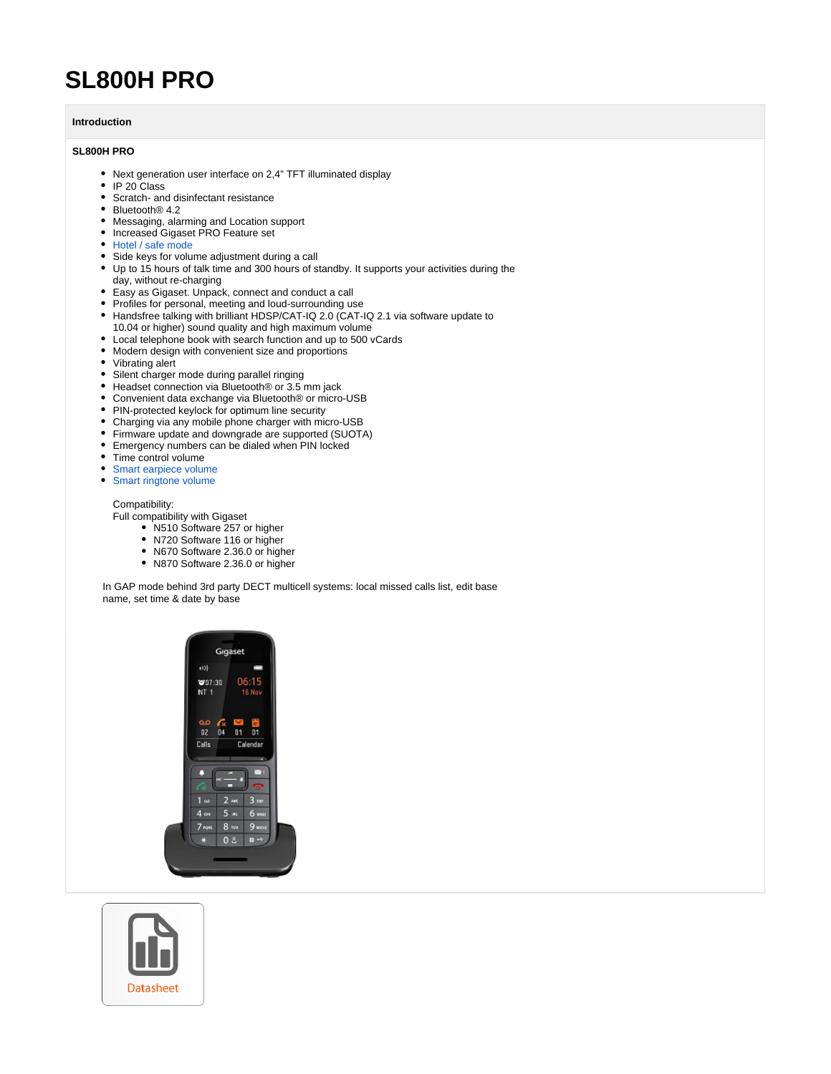## **SL800H PRO**

## **Introduction**

## **SL800H PRO**

- Next generation user interface on 2,4" TFT illuminated display
- IP 20 Class
- Scratch- and disinfectant resistance
- Bluetooth<sup>®</sup> 4.2
- Messaging, alarming and Location support
- Increased Gigaset PRO Feature set
- [Hotel / safe mode](https://teamwork.gigaset.com/gigawiki/pages/viewpage.action?pageId=1145667769)
- Side keys for volume adjustment during a call
- Up to 15 hours of talk time and 300 hours of standby. It supports your activities during the day, without re-charging
- Easy as Gigaset. Unpack, connect and conduct a call
- Profiles for personal, meeting and loud-surrounding use
- Handsfree talking with brilliant HDSP/CAT-IQ 2.0 (CAT-IQ 2.1 via software update to 10.04 or higher) sound quality and high maximum volume
- Local telephone book with search function and up to 500 vCards
- Modern design with convenient size and proportions
- Vibrating alert
- Silent charger mode during parallel ringing
- Headset connection via Bluetooth<sup>®</sup> or 3.5 mm jack
- Convenient data exchange via Bluetooth® or micro-USB
- PIN-protected keylock for optimum line security
- Charging via any mobile phone charger with micro-USB
- Firmware update and downgrade are supported (SUOTA)
- Emergency numbers can be dialed when PIN locked
- Time control volume
- [Smart earpiece volume](https://teamwork.gigaset.com/gigawiki/pages/viewpage.action?pageId=1146061343)
- 
- [Smart ringtone volume](https://teamwork.gigaset.com/gigawiki/pages/viewpage.action?pageId=1146061343)

Compatibility:

Full compatibility with Gigaset

- N510 Software 257 or higher
- N720 Software 116 or higher
- N670 Software 2.36.0 or higher
- N870 Software 2.36.0 or higher

In GAP mode behind 3rd party DECT multicell systems: local missed calls list, edit base name, set time & date by base